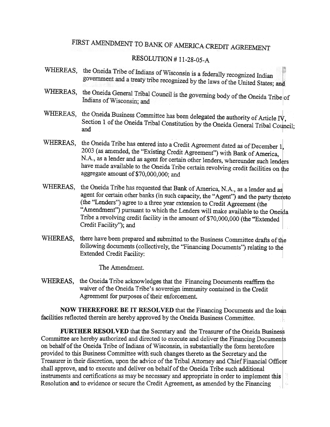## FIRST AMENDMENT TO BANK OF AMERICA CREDIT AGREEMENT

## RESOLUTION # 11-28-05-A

- WHEREAS, the Oneida Tribe of Indians of Wisconsin is a federally recognized Indian government and a treaty tribe recognized by the laws of the United States; and
- WHEREAS, the Oneida General Tribal Council is the governing body of the Oneida Tribe of Indians of Wisconsin; and
- WHEREAS, the Oneida Business Committee has been delegated the authority of Article  $\Gamma V$ , Section 1 of the Oneida Tribal Constitution by the Oneida General Tribal Council; and
- WHEREAS, the Oneida Tribe has entered into a Credit Agreement dated as of December 1, 2003 (as amended, the "Existing Credit Agreement") with Bank of America, N.A., as a lender and as agent for certain other lenders, whereunder such lenders have made available to the Oneida Tribe certain revolving credit facilities on the aggregate amount of\$70,000,000; and
- WHEREAS, the Oneida Tribe has requested that Bank of America, N.A., as a lender and as agent for certain other banks (in such capacity, the "Agent") and the party thereto (the "Lenders") agree to a three year extension to Credit Agreement (the "Amendment") pursuant to which the Lenders will make available to the Oneida Tribe a revolving credit facility in the amount of \$70,000,000 (the "Extended Credit Facility"); and
- WHEREAS, there have been prepared and submitted to the Business Committee drafts of the following documents (collectively, the "Financing Documents") relating to the Extended Credit FacIlIty:

The Amendment.

WHEREAS, the Oneida Tribe acknowledges that the Financing Documents reaffirm the waiver of the Oneida Tribe's sovereign immunity contained in the Credit Agreement for purposes of their enforcement.

NOW THEREFORE BE IT RESOLVED that the Financing Documents and the loan facilities reflected therein are hereby approved by the Oneida Business Committee.

FURTHER RESOLVED that the Secretary and the Treasurer of the Oneida Business Committee are hereby authorized and directed to execute and deliver the Financing Documents on behalf of the Oneida Tribe of Indians of Wisconsin, in substantially the form heretofore provided to this Business Committee with such changes thereto as the Secretary and the Treasurer in their discretion, upon the advice of the Tribal Attorney and Chief Financial Officer shall approve, and to execute and deliver on behalf of the Oneida Tribe such additional instruments and certifications as may be necessary and appropriate in order to implement this Resolution and to evidence or secure the Credit Agreement, as amended by the Financing16.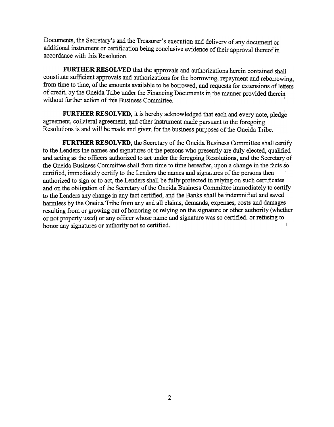Documents, the Secretary's and the Treasurer's execution and delivery of any document or additional instrument or certification being conclusive evidence of their approval thereofin accordance with this Resolution.

FURTHER RESOLVED that the approvals and authorizations herein contained shall constitute sufficient approvals and authorizations for the borrowing, repayment and reborrowing, from time to time, of the amounts available to be borrowed, and requests for extensions of letters of credit, by the Oneida Tribe under the Financing Documents in the manner provided therein without further action of this Business Committee.

FURTHER RESOLVED, it is hereby acknowledged that each and every note, pledge agreement, collateral agreement, and other instrument made pursuant to the foregoing Resolutions is and will be made and given for the business purposes of the Oneida Tribe. I

FURTHER RESOLVED, the Secretary of the Oneida Business Committee shall certify to the Lenders the names and signatures of the persons who presently are duly elected, qualified and acting as the officers authorized to act under the foregoing Resolutions, and the Secretary of the Oneida Business Committee shall from time to time hereafter, upon a change in the facts so certified, immediately certify to the Lenders the names and signatures of the persons then authorized to sign or to act, the Lenders shall be fully protected in relying on such certificates' and on the obligation of the Secretary of the Oneida Business Committee immediately to certify to the Lenders any change in any fact certified, and the Banks shall be indemnified and saved harmless by the Oneida Tribe from any and all claims, demands, expenses, costs and damages resulting from or growing out of honoring or relying on the signature or other authority (whether or not property used) or any officer whose name and signature was so certified, or refusing to honor any signatures or authority not so certified.